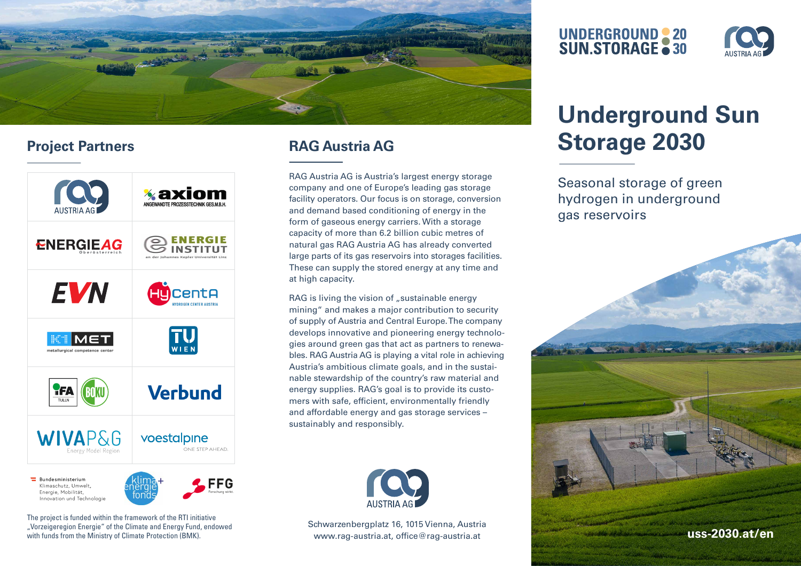

## **Project Partners**



The project is funded within the framework of the RTI initiative "Vorzeigeregion Energie" of the Climate and Energy Fund, endowed

## **RAG Austria AG**

RAG Austria AG is Austria's largest energy storage company and one of Europe's leading gas storage facility operators. Our focus is on storage, conversion and demand based conditioning of energy in the form of gaseous energy carriers. With a storage capacity of more than 6.2 billion cubic metres of natural gas RAG Austria AG has already converted large parts of its gas reservoirs into storages facilities. These can supply the stored energy at any time and at high capacity.

RAG is living the vision of "sustainable energy mining" and makes a major contribution to security of supply of Austria and Central Europe. The company develops innovative and pioneering energy technologies around green gas that act as partners to renewables. RAG Austria AG is playing a vital role in achieving Austria's ambitious climate goals, and in the sustainable stewardship of the country's raw material and energy supplies. RAG's goal is to provide its customers with safe, efficient, environmentally friendly and affordable energy and gas storage services – sustainably and responsibly.



Schwarzenbergplatz 16, 1015 Vienna, Austria

# **UNDERGROUND 20**<br>SUN.STORAGE 30



# **Underground Sun Storage 2030**

Seasonal storage of green hydrogen in underground gas reservoirs